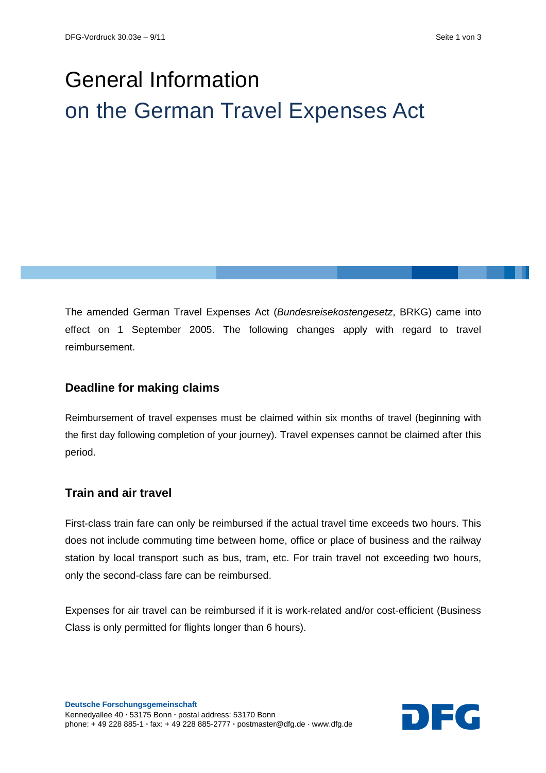# General Information on the German Travel Expenses Act

The amended German Travel Expenses Act (*Bundesreisekostengesetz*, BRKG) came into effect on 1 September 2005. The following changes apply with regard to travel reimbursement.

#### **Deadline for making claims**

Reimbursement of travel expenses must be claimed within six months of travel (beginning with the first day following completion of your journey). Travel expenses cannot be claimed after this period.

#### **Train and air travel**

First-class train fare can only be reimbursed if the actual travel time exceeds two hours. This does not include commuting time between home, office or place of business and the railway station by local transport such as bus, tram, etc. For train travel not exceeding two hours, only the second-class fare can be reimbursed.

Expenses for air travel can be reimbursed if it is work-related and/or cost-efficient (Business Class is only permitted for flights longer than 6 hours).

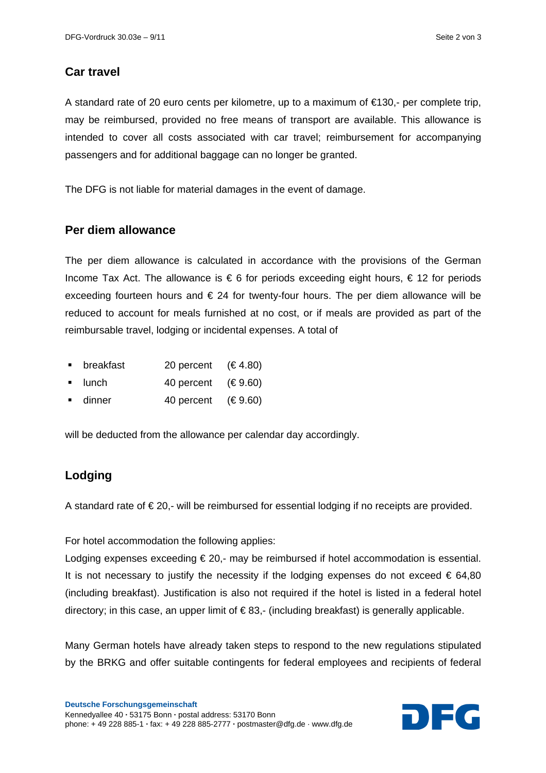### **Car travel**

A standard rate of 20 euro cents per kilometre, up to a maximum of €130,- per complete trip, may be reimbursed, provided no free means of transport are available. This allowance is intended to cover all costs associated with car travel; reimbursement for accompanying passengers and for additional baggage can no longer be granted.

The DFG is not liable for material damages in the event of damage.

#### **Per diem allowance**

The per diem allowance is calculated in accordance with the provisions of the German Income Tax Act. The allowance is  $\epsilon$  6 for periods exceeding eight hours,  $\epsilon$  12 for periods exceeding fourteen hours and  $\epsilon$  24 for twenty-four hours. The per diem allowance will be reduced to account for meals furnished at no cost, or if meals are provided as part of the reimbursable travel, lodging or incidental expenses. A total of

- breakfast 20 percent  $(€4.80)$
- $lunch$  40 percent ( $\in$  9.60)
- dinner 40 percent (€ 9.60)

will be deducted from the allowance per calendar day accordingly.

## **Lodging**

A standard rate of  $\epsilon$  20,- will be reimbursed for essential lodging if no receipts are provided.

For hotel accommodation the following applies:

Lodging expenses exceeding  $\epsilon$  20,- may be reimbursed if hotel accommodation is essential. It is not necessary to justify the necessity if the lodging expenses do not exceed  $\epsilon$  64,80 (including breakfast). Justification is also not required if the hotel is listed in a federal hotel directory; in this case, an upper limit of  $\epsilon$ 83,- (including breakfast) is generally applicable.

Many German hotels have already taken steps to respond to the new regulations stipulated by the BRKG and offer suitable contingents for federal employees and recipients of federal